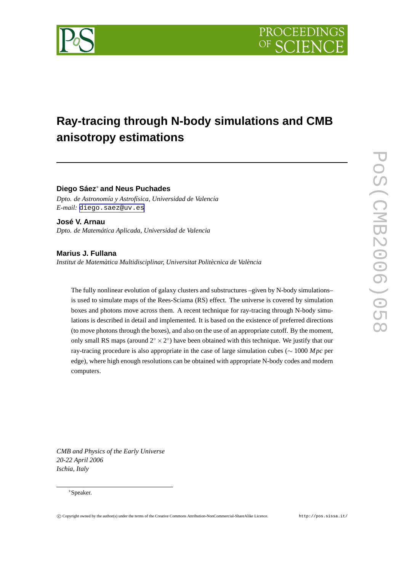

# **Ray-tracing through N-body simulations and CMB anisotropy estimations**

**Diego Sáez**<sup>∗</sup> **and Neus Puchades**

*Dpto. de Astronomía y Astrofísica, Universidad de Valencia E-mail:* [diego.saez@uv.es](mailto:diego.saez@uv.es)

**José V. Arnau** *Dpto. de Matemática Aplicada, Universidad de Valencia*

**Marius J. Fullana** *Institut de Matemàtica Multidisciplinar, Universitat Politècnica de València*

The fully nonlinear evolution of galaxy clusters and substructures –given by N-body simulations– is used to simulate maps of the Rees-Sciama (RS) effect. The universe is covered by simulation boxes and photons move across them. A recent technique for ray-tracing through N-body simulations is described in detail and implemented. It is based on the existence of preferred directions (to move photons through the boxes), and also on the use of an appropriate cutoff. By the moment, only small RS maps (around  $2^{\circ} \times 2^{\circ}$ ) have been obtained with this technique. We justify that our ray-tracing procedure is also appropriate in the case of large simulation cubes (∼ 1000 *Mpc* per edge), where high enough resolutions can be obtained with appropriate N-body codes and modern computers.

*CMB and Physics of the Early Universe 20-22 April 2006 Ischia, Italy*

#### <sup>∗</sup>Speaker.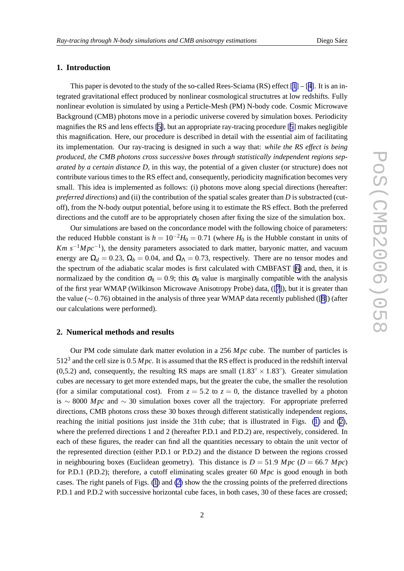## **1. Introduction**

This paper is devoted to the study of the so-called Rees-Sciama  $(RS)$  effect  $[1] - [4]$  $[1] - [4]$  $[1] - [4]$  $[1] - [4]$ . It is an integrated gravitational effect produced by nonlinear cosmological structutres at low redshifts. Fully nonlinear evolution is simulated by using a Perticle-Mesh (PM) N-body code. Cosmic Microwave Background (CMB) photons move in a periodic universe covered by simulation boxes. Periodicity magnifies the RS and lens effects [\[5\]](#page-3-0), but an appropriate ray-tracing procedure [[5](#page-3-0)] makes negligible this magnification. Here, our procedure is described in detail with the essential aim of facilitating its implementation. Our ray-tracing is designed in such a way that: *while the RS effect is being produced, the CMB photons cross successive boxes through statistically independent regions separated by a certain distance D*, in this way, the potential of a given cluster (or structure) does not contribute various times to the RS effect and, consequently, periodicity magnification becomes very small. This idea is implemented as follows: (i) photons move along special directions (hereafter: *preferred directions*) and (ii) the contribution of the spatial scales greater than *D* is substracted (cutoff), from the N-body output potential, before using it to estimate the RS effect. Both the preferred directions and the cutoff are to be appropriately chosen after fixing the size of the simulation box.

Our simulations are based on the concordance model with the following choice of parameters: the reduced Hubble constant is  $h = 10^{-2}H_0 = 0.71$  (where  $H_0$  is the Hubble constant in units of *Km s*<sup>-1</sup>*Mpc*<sup>-1</sup>), the density parameters associated to dark matter, baryonic matter, and vacuum energy are  $\Omega_d = 0.23$ ,  $\Omega_b = 0.04$ , and  $\Omega_\Lambda = 0.73$ , respectively. There are no tensor modes and the spectrum of the adiabatic scalar modes is first calculated with CMBFAST [\[6\]](#page-3-0) and, then, it is normalizaed by the condition  $\sigma_8 = 0.9$ ; this  $\sigma_8$  value is marginally compatible with the analysis of the first year WMAP (Wilkinson Microwave Anisotropy Probe) data, ([[7](#page-3-0)]), but it is greater than the value (∼ 0.76) obtained in the analysis of three year WMAP data recently published ([\[8\]](#page-3-0)) (after our calculations were performed).

## **2. Numerical methods and results**

Our PM code simulate dark matter evolution in a 256 *Mpc* cube. The number of particles is  $512<sup>3</sup>$  and the cell size is 0.5 *Mpc*. It is assumed that the RS effect is produced in the redshift interval (0,5.2) and, consequently, the resulting RS maps are small  $(1.83° \times 1.83°)$ . Greater simulation cubes are necessary to get more extended maps, but the greater the cube, the smaller the resolution (for a similar computational cost). From  $z = 5.2$  to  $z = 0$ , the distance travelled by a photon is ∼ 8000 *Mpc* and ∼ 30 simulation boxes cover all the trajectory. For appropriate preferred directions, CMB photons cross these 30 boxes through different statistically independent regions, reaching the initial positions just inside the 31th cube; that is illustrated in Figs. [\(1\)](#page-2-0) and [\(2\)](#page-2-0), where the preferred directions 1 and 2 (hereafter P.D.1 and P.D.2) are, respectively, considered. In each of these figures, the reader can find all the quantities necessary to obtain the unit vector of the represented direction (either P.D.1 or P.D.2) and the distance D between the regions crossed in neighbouring boxes (Euclidean geometry). This distance is  $D = 51.9$  *Mpc* ( $D = 66.7$  *Mpc*) for P.D.1 (P.D.2); therefore, a cutoff eliminating scales greater 60 *Mpc* is good enough in both cases. The right panels of Figs. [\(1\)](#page-2-0) and [\(2\)](#page-2-0) show the the crossing points of the preferred directions P.D.1 and P.D.2 with successive horizontal cube faces, in both cases, 30 of these faces are crossed;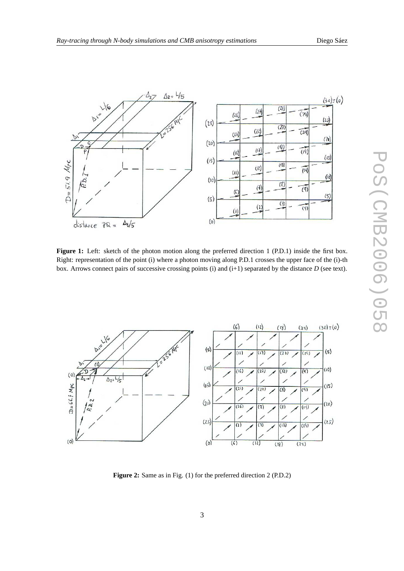<span id="page-2-0"></span>



**Figure 1:** Left: sketch of the photon motion along the preferred direction 1 (P.D.1) inside the first box. Right: representation of the point (i) where a photon moving along P.D.1 crosses the upper face of the (i)-th box. Arrows connect pairs of successive crossing points (i) and (i+1) separated by the distance *D* (see text).



**Figure 2:** Same as in Fig. (1) for the preferred direction 2 (P.D.2)